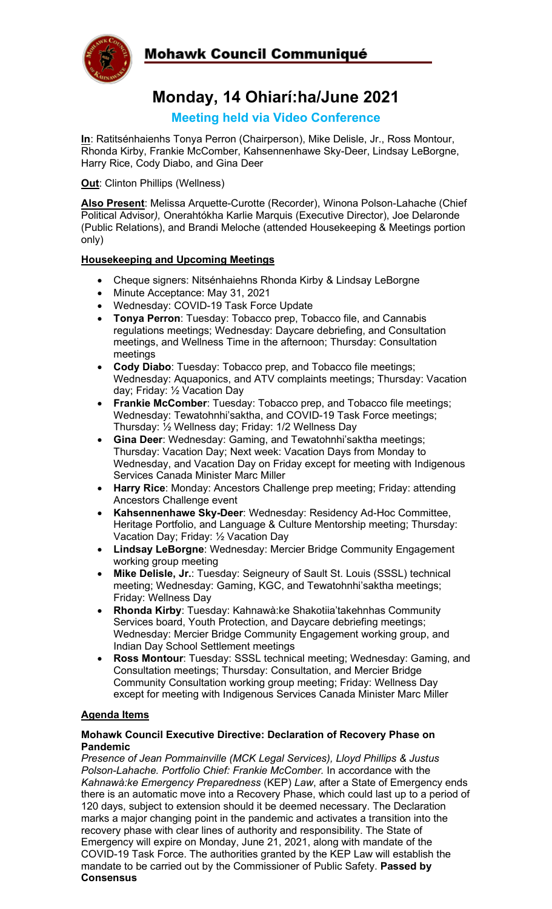

## Mohawk Council Communiqué

# **Monday, 14 Ohiarí:ha/June 2021**

### **Meeting held via Video Conference**

**In**: Ratitsénhaienhs Tonya Perron (Chairperson), Mike Delisle, Jr., Ross Montour, Rhonda Kirby, Frankie McComber, Kahsennenhawe Sky-Deer, Lindsay LeBorgne, Harry Rice, Cody Diabo, and Gina Deer

**Out**: Clinton Phillips (Wellness)

**Also Present**: Melissa Arquette-Curotte (Recorder), Winona Polson-Lahache (Chief Political Advisor*),* Onerahtókha Karlie Marquis (Executive Director), Joe Delaronde (Public Relations), and Brandi Meloche (attended Housekeeping & Meetings portion only)

#### **Housekeeping and Upcoming Meetings**

- Cheque signers: Nitsénhaiehns Rhonda Kirby & Lindsay LeBorgne
- Minute Acceptance: May 31, 2021
- Wednesday: COVID-19 Task Force Update
- **Tonya Perron**: Tuesday: Tobacco prep, Tobacco file, and Cannabis regulations meetings; Wednesday: Daycare debriefing, and Consultation meetings, and Wellness Time in the afternoon; Thursday: Consultation meetings
- **Cody Diabo**: Tuesday: Tobacco prep, and Tobacco file meetings; Wednesday: Aquaponics, and ATV complaints meetings; Thursday: Vacation day; Friday: ½ Vacation Day
- **Frankie McComber:** Tuesday: Tobacco prep, and Tobacco file meetings; Wednesday: Tewatohnhi'saktha, and COVID-19 Task Force meetings; Thursday: ½ Wellness day; Friday: 1/2 Wellness Day
- **Gina Deer**: Wednesday: Gaming, and Tewatohnhi'saktha meetings; Thursday: Vacation Day; Next week: Vacation Days from Monday to Wednesday, and Vacation Day on Friday except for meeting with Indigenous Services Canada Minister Marc Miller
- **Harry Rice**: Monday: Ancestors Challenge prep meeting; Friday: attending Ancestors Challenge event
- **Kahsennenhawe Sky-Deer**: Wednesday: Residency Ad-Hoc Committee, Heritage Portfolio, and Language & Culture Mentorship meeting; Thursday: Vacation Day; Friday: ½ Vacation Day
- **Lindsay LeBorgne**: Wednesday: Mercier Bridge Community Engagement working group meeting
- **Mike Delisle, Jr.**: Tuesday: Seigneury of Sault St. Louis (SSSL) technical meeting; Wednesday: Gaming, KGC, and Tewatohnhi'saktha meetings; Friday: Wellness Day
- **Rhonda Kirby**: Tuesday: Kahnawà:ke Shakotiia'takehnhas Community Services board, Youth Protection, and Daycare debriefing meetings; Wednesday: Mercier Bridge Community Engagement working group, and Indian Day School Settlement meetings
- **Ross Montour**: Tuesday: SSSL technical meeting; Wednesday: Gaming, and Consultation meetings; Thursday: Consultation, and Mercier Bridge Community Consultation working group meeting; Friday: Wellness Day except for meeting with Indigenous Services Canada Minister Marc Miller

#### **Agenda Items**

#### **Mohawk Council Executive Directive: Declaration of Recovery Phase on Pandemic**

*Presence of Jean Pommainville (MCK Legal Services), Lloyd Phillips & Justus Polson-Lahache. Portfolio Chief: Frankie McComber.* In accordance with the *Kahnawà:ke Emergency Preparedness* (KEP) *Law*, after a State of Emergency ends there is an automatic move into a Recovery Phase, which could last up to a period of 120 days, subject to extension should it be deemed necessary. The Declaration marks a major changing point in the pandemic and activates a transition into the recovery phase with clear lines of authority and responsibility. The State of Emergency will expire on Monday, June 21, 2021, along with mandate of the COVID-19 Task Force. The authorities granted by the KEP Law will establish the mandate to be carried out by the Commissioner of Public Safety. **Passed by Consensus**